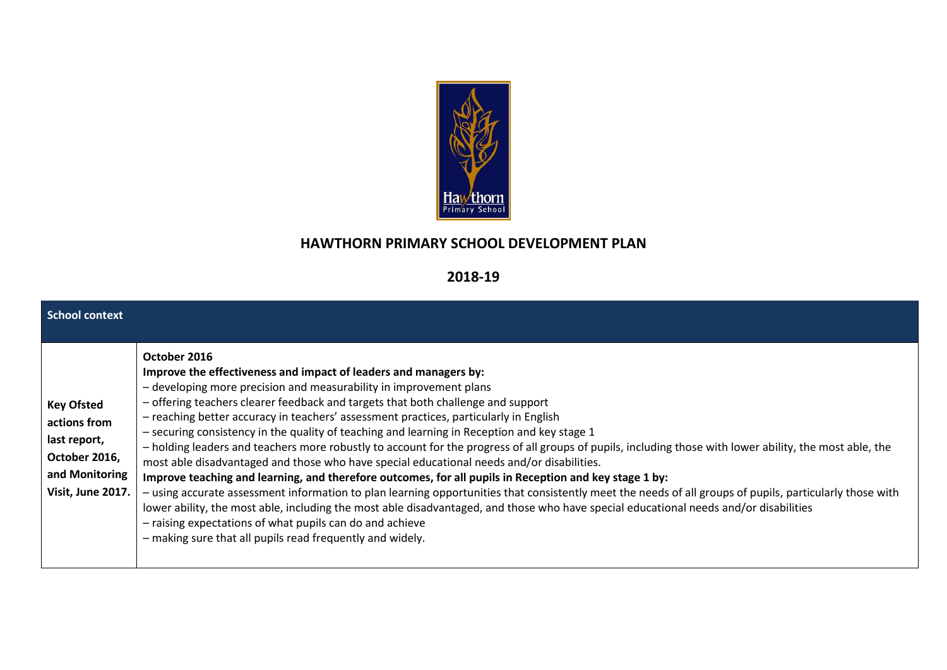

## **HAWTHORN PRIMARY SCHOOL DEVELOPMENT PLAN**

## **2018-19**

| <b>School context</b>                                                                                     |                                                                                                                                                                                                                                                                                                                                                                                                                                                                                                                                                                                                                                                                                                                                                                                                                                                                                                                                                                                                                                                                                                                                                                                                                                     |
|-----------------------------------------------------------------------------------------------------------|-------------------------------------------------------------------------------------------------------------------------------------------------------------------------------------------------------------------------------------------------------------------------------------------------------------------------------------------------------------------------------------------------------------------------------------------------------------------------------------------------------------------------------------------------------------------------------------------------------------------------------------------------------------------------------------------------------------------------------------------------------------------------------------------------------------------------------------------------------------------------------------------------------------------------------------------------------------------------------------------------------------------------------------------------------------------------------------------------------------------------------------------------------------------------------------------------------------------------------------|
| <b>Key Ofsted</b><br>actions from<br>last report,<br>October 2016,<br>and Monitoring<br>Visit, June 2017. | October 2016<br>Improve the effectiveness and impact of leaders and managers by:<br>- developing more precision and measurability in improvement plans<br>- offering teachers clearer feedback and targets that both challenge and support<br>- reaching better accuracy in teachers' assessment practices, particularly in English<br>- securing consistency in the quality of teaching and learning in Reception and key stage 1<br>- holding leaders and teachers more robustly to account for the progress of all groups of pupils, including those with lower ability, the most able, the<br>most able disadvantaged and those who have special educational needs and/or disabilities.<br>Improve teaching and learning, and therefore outcomes, for all pupils in Reception and key stage 1 by:<br>- using accurate assessment information to plan learning opportunities that consistently meet the needs of all groups of pupils, particularly those with<br>lower ability, the most able, including the most able disadvantaged, and those who have special educational needs and/or disabilities<br>- raising expectations of what pupils can do and achieve<br>- making sure that all pupils read frequently and widely. |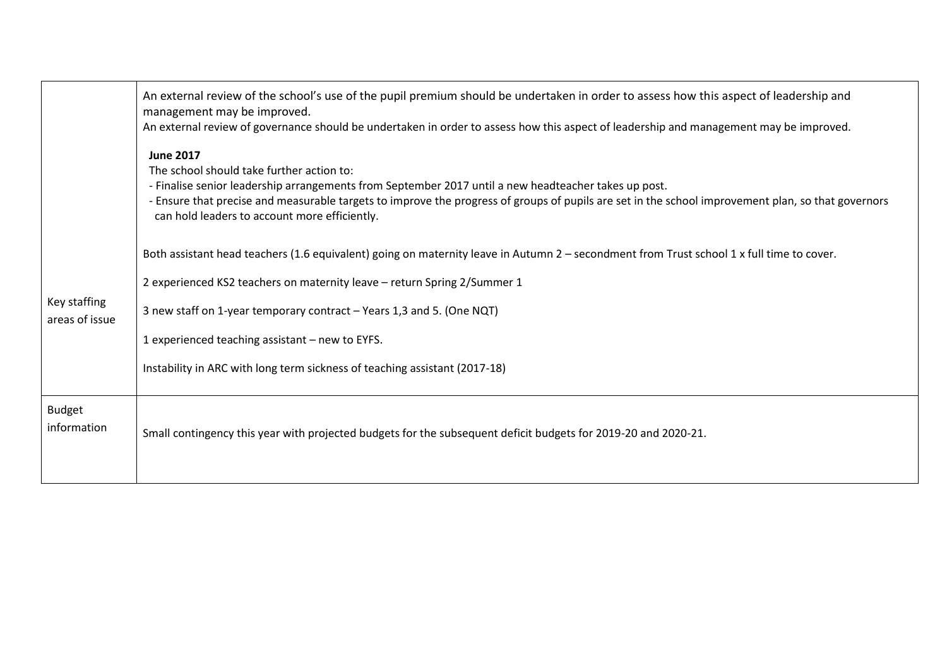|                                | An external review of the school's use of the pupil premium should be undertaken in order to assess how this aspect of leadership and<br>management may be improved.<br>An external review of governance should be undertaken in order to assess how this aspect of leadership and management may be improved.                                                               |
|--------------------------------|------------------------------------------------------------------------------------------------------------------------------------------------------------------------------------------------------------------------------------------------------------------------------------------------------------------------------------------------------------------------------|
|                                | <b>June 2017</b><br>The school should take further action to:<br>- Finalise senior leadership arrangements from September 2017 until a new headteacher takes up post.<br>- Ensure that precise and measurable targets to improve the progress of groups of pupils are set in the school improvement plan, so that governors<br>can hold leaders to account more efficiently. |
|                                | Both assistant head teachers (1.6 equivalent) going on maternity leave in Autumn 2 - secondment from Trust school 1 x full time to cover.                                                                                                                                                                                                                                    |
|                                | 2 experienced KS2 teachers on maternity leave - return Spring 2/Summer 1                                                                                                                                                                                                                                                                                                     |
| Key staffing<br>areas of issue | 3 new staff on 1-year temporary contract - Years 1,3 and 5. (One NQT)                                                                                                                                                                                                                                                                                                        |
|                                | 1 experienced teaching assistant - new to EYFS.                                                                                                                                                                                                                                                                                                                              |
|                                | Instability in ARC with long term sickness of teaching assistant (2017-18)                                                                                                                                                                                                                                                                                                   |
| <b>Budget</b><br>information   | Small contingency this year with projected budgets for the subsequent deficit budgets for 2019-20 and 2020-21.                                                                                                                                                                                                                                                               |
|                                |                                                                                                                                                                                                                                                                                                                                                                              |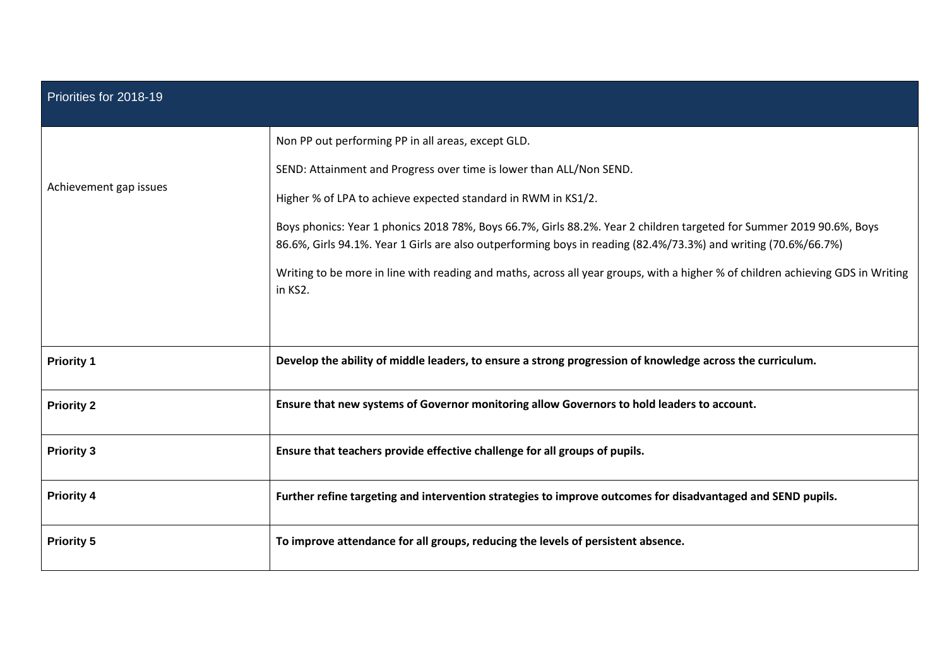| Priorities for 2018-19 |                                                                                                                                                                                                                                         |  |  |  |  |
|------------------------|-----------------------------------------------------------------------------------------------------------------------------------------------------------------------------------------------------------------------------------------|--|--|--|--|
|                        | Non PP out performing PP in all areas, except GLD.                                                                                                                                                                                      |  |  |  |  |
|                        | SEND: Attainment and Progress over time is lower than ALL/Non SEND.                                                                                                                                                                     |  |  |  |  |
| Achievement gap issues | Higher % of LPA to achieve expected standard in RWM in KS1/2.                                                                                                                                                                           |  |  |  |  |
|                        | Boys phonics: Year 1 phonics 2018 78%, Boys 66.7%, Girls 88.2%. Year 2 children targeted for Summer 2019 90.6%, Boys<br>86.6%, Girls 94.1%. Year 1 Girls are also outperforming boys in reading (82.4%/73.3%) and writing (70.6%/66.7%) |  |  |  |  |
|                        | Writing to be more in line with reading and maths, across all year groups, with a higher % of children achieving GDS in Writing<br>in KS2.                                                                                              |  |  |  |  |
|                        |                                                                                                                                                                                                                                         |  |  |  |  |
| <b>Priority 1</b>      | Develop the ability of middle leaders, to ensure a strong progression of knowledge across the curriculum.                                                                                                                               |  |  |  |  |
| <b>Priority 2</b>      | Ensure that new systems of Governor monitoring allow Governors to hold leaders to account.                                                                                                                                              |  |  |  |  |
| <b>Priority 3</b>      | Ensure that teachers provide effective challenge for all groups of pupils.                                                                                                                                                              |  |  |  |  |
| <b>Priority 4</b>      | Further refine targeting and intervention strategies to improve outcomes for disadvantaged and SEND pupils.                                                                                                                             |  |  |  |  |
| <b>Priority 5</b>      | To improve attendance for all groups, reducing the levels of persistent absence.                                                                                                                                                        |  |  |  |  |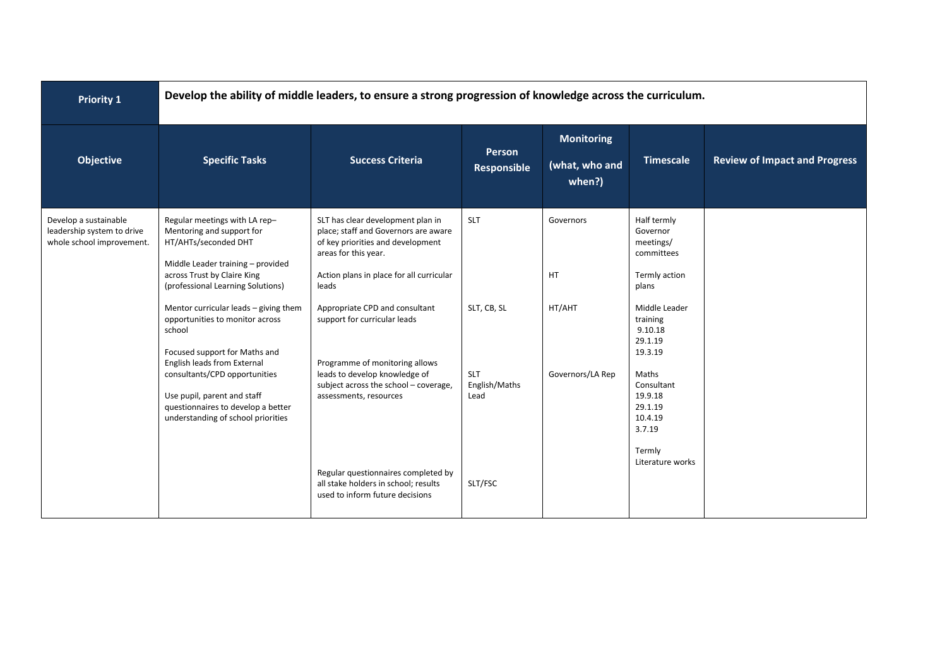| <b>Priority 1</b>                                                                |                                                                                                                                                                                             | Develop the ability of middle leaders, to ensure a strong progression of knowledge across the curriculum.                                                                                   |                                     |                                               |                                                                              |                                      |  |  |  |
|----------------------------------------------------------------------------------|---------------------------------------------------------------------------------------------------------------------------------------------------------------------------------------------|---------------------------------------------------------------------------------------------------------------------------------------------------------------------------------------------|-------------------------------------|-----------------------------------------------|------------------------------------------------------------------------------|--------------------------------------|--|--|--|
| <b>Objective</b>                                                                 | <b>Specific Tasks</b>                                                                                                                                                                       | <b>Success Criteria</b>                                                                                                                                                                     | Person<br>Responsible               | <b>Monitoring</b><br>(what, who and<br>when?) | <b>Timescale</b>                                                             | <b>Review of Impact and Progress</b> |  |  |  |
| Develop a sustainable<br>leadership system to drive<br>whole school improvement. | Regular meetings with LA rep-<br>Mentoring and support for<br>HT/AHTs/seconded DHT<br>Middle Leader training - provided<br>across Trust by Claire King<br>(professional Learning Solutions) | SLT has clear development plan in<br>place; staff and Governors are aware<br>of key priorities and development<br>areas for this year.<br>Action plans in place for all curricular<br>leads | <b>SLT</b>                          | Governors<br>HT                               | Half termly<br>Governor<br>meetings/<br>committees<br>Termly action<br>plans |                                      |  |  |  |
|                                                                                  | Mentor curricular leads - giving them<br>opportunities to monitor across<br>school<br>Focused support for Maths and<br>English leads from External                                          | Appropriate CPD and consultant<br>support for curricular leads<br>Programme of monitoring allows                                                                                            | SLT, CB, SL                         | HT/AHT                                        | Middle Leader<br>training<br>9.10.18<br>29.1.19<br>19.3.19                   |                                      |  |  |  |
|                                                                                  | consultants/CPD opportunities<br>Use pupil, parent and staff<br>questionnaires to develop a better<br>understanding of school priorities                                                    | leads to develop knowledge of<br>subject across the school - coverage,<br>assessments, resources                                                                                            | <b>SLT</b><br>English/Maths<br>Lead | Governors/LA Rep                              | Maths<br>Consultant<br>19.9.18<br>29.1.19<br>10.4.19<br>3.7.19               |                                      |  |  |  |
|                                                                                  |                                                                                                                                                                                             | Regular questionnaires completed by<br>all stake holders in school; results<br>used to inform future decisions                                                                              | SLT/FSC                             |                                               | Termly<br>Literature works                                                   |                                      |  |  |  |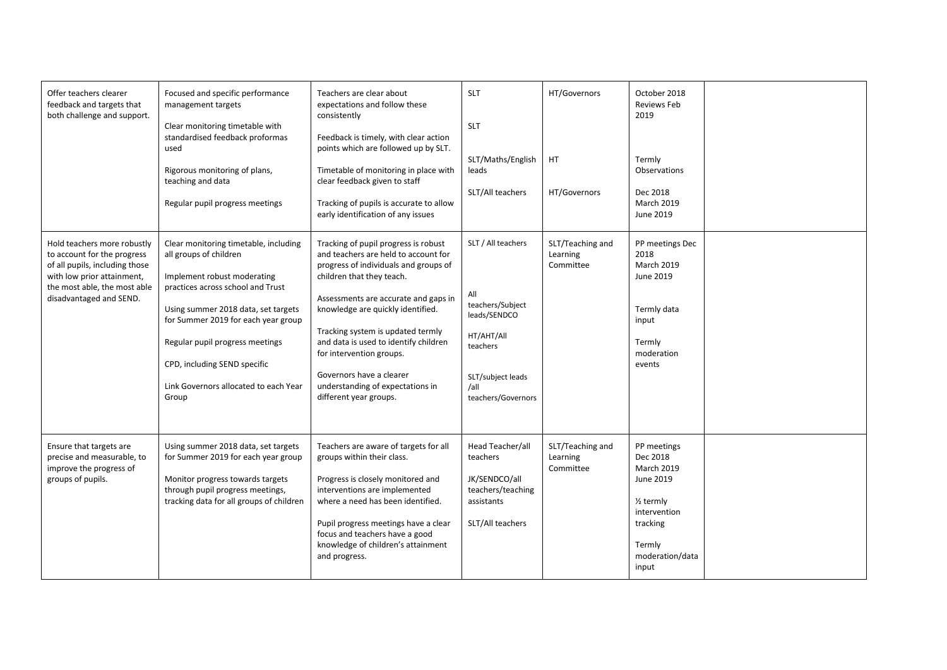| Offer teachers clearer<br>feedback and targets that<br>both challenge and support.                                                                                                    | Focused and specific performance<br>management targets<br>Clear monitoring timetable with<br>standardised feedback proformas<br>used<br>Rigorous monitoring of plans,<br>teaching and data<br>Regular pupil progress meetings                                                                                                          | Teachers are clear about<br>expectations and follow these<br>consistently<br>Feedback is timely, with clear action<br>points which are followed up by SLT.<br>Timetable of monitoring in place with<br>clear feedback given to staff<br>Tracking of pupils is accurate to allow<br>early identification of any issues                                                                                                               | <b>SLT</b><br><b>SLT</b><br>SLT/Maths/English<br>leads<br>SLT/All teachers                                                                 | HT/Governors<br>HT.<br>HT/Governors       | October 2018<br><b>Reviews Feb</b><br>2019<br>Termly<br>Observations<br>Dec 2018<br><b>March 2019</b><br>June 2019                                  |  |
|---------------------------------------------------------------------------------------------------------------------------------------------------------------------------------------|----------------------------------------------------------------------------------------------------------------------------------------------------------------------------------------------------------------------------------------------------------------------------------------------------------------------------------------|-------------------------------------------------------------------------------------------------------------------------------------------------------------------------------------------------------------------------------------------------------------------------------------------------------------------------------------------------------------------------------------------------------------------------------------|--------------------------------------------------------------------------------------------------------------------------------------------|-------------------------------------------|-----------------------------------------------------------------------------------------------------------------------------------------------------|--|
| Hold teachers more robustly<br>to account for the progress<br>of all pupils, including those<br>with low prior attainment,<br>the most able, the most able<br>disadvantaged and SEND. | Clear monitoring timetable, including<br>all groups of children<br>Implement robust moderating<br>practices across school and Trust<br>Using summer 2018 data, set targets<br>for Summer 2019 for each year group<br>Regular pupil progress meetings<br>CPD, including SEND specific<br>Link Governors allocated to each Year<br>Group | Tracking of pupil progress is robust<br>and teachers are held to account for<br>progress of individuals and groups of<br>children that they teach.<br>Assessments are accurate and gaps in<br>knowledge are quickly identified.<br>Tracking system is updated termly<br>and data is used to identify children<br>for intervention groups.<br>Governors have a clearer<br>understanding of expectations in<br>different year groups. | SLT / All teachers<br>All<br>teachers/Subject<br>leads/SENDCO<br>HT/AHT/All<br>teachers<br>SLT/subject leads<br>/all<br>teachers/Governors | SLT/Teaching and<br>Learning<br>Committee | PP meetings Dec<br>2018<br><b>March 2019</b><br>June 2019<br>Termly data<br>input<br>Termly<br>moderation<br>events                                 |  |
| Ensure that targets are<br>precise and measurable, to<br>improve the progress of<br>groups of pupils.                                                                                 | Using summer 2018 data, set targets<br>for Summer 2019 for each year group<br>Monitor progress towards targets<br>through pupil progress meetings,<br>tracking data for all groups of children                                                                                                                                         | Teachers are aware of targets for all<br>groups within their class.<br>Progress is closely monitored and<br>interventions are implemented<br>where a need has been identified.<br>Pupil progress meetings have a clear<br>focus and teachers have a good<br>knowledge of children's attainment<br>and progress.                                                                                                                     | Head Teacher/all<br>teachers<br>JK/SENDCO/all<br>teachers/teaching<br>assistants<br>SLT/All teachers                                       | SLT/Teaching and<br>Learning<br>Committee | PP meetings<br>Dec 2018<br><b>March 2019</b><br>June 2019<br>$\frac{1}{2}$ termly<br>intervention<br>tracking<br>Termly<br>moderation/data<br>input |  |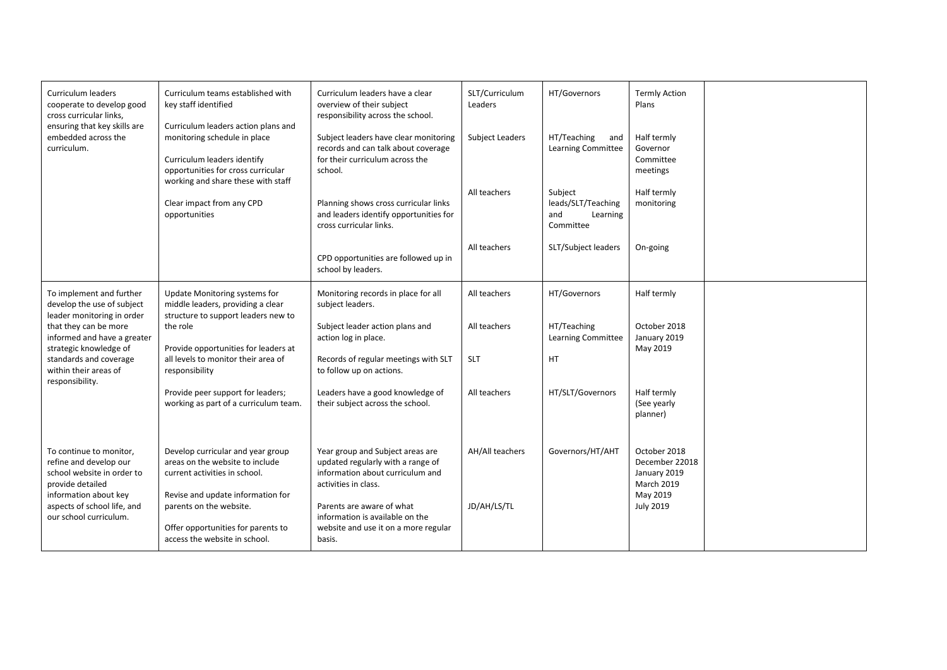| Curriculum leaders<br>cooperate to develop good<br>cross curricular links,<br>ensuring that key skills are                   | Curriculum teams established with<br>key staff identified<br>Curriculum leaders action plans and<br>monitoring schedule in place<br>Curriculum leaders identify<br>opportunities for cross curricular<br>working and share these with staff<br>Clear impact from any CPD<br>opportunities | Curriculum leaders have a clear<br>overview of their subject<br>responsibility across the school.                                                                                                                                        | SLT/Curriculum<br>Leaders                              | HT/Governors                                                                                                                     | <b>Termly Action</b><br>Plans                                                             |  |
|------------------------------------------------------------------------------------------------------------------------------|-------------------------------------------------------------------------------------------------------------------------------------------------------------------------------------------------------------------------------------------------------------------------------------------|------------------------------------------------------------------------------------------------------------------------------------------------------------------------------------------------------------------------------------------|--------------------------------------------------------|----------------------------------------------------------------------------------------------------------------------------------|-------------------------------------------------------------------------------------------|--|
| embedded across the<br>curriculum.                                                                                           |                                                                                                                                                                                                                                                                                           | Subject leaders have clear monitoring<br>records and can talk about coverage<br>for their curriculum across the<br>school.<br>Planning shows cross curricular links<br>and leaders identify opportunities for<br>cross curricular links. | <b>Subject Leaders</b><br>All teachers<br>All teachers | HT/Teaching<br>and<br>Learning Committee<br>Subject<br>leads/SLT/Teaching<br>and<br>Learning<br>Committee<br>SLT/Subject leaders | Half termly<br>Governor<br>Committee<br>meetings<br>Half termly<br>monitoring<br>On-going |  |
|                                                                                                                              |                                                                                                                                                                                                                                                                                           | CPD opportunities are followed up in<br>school by leaders.                                                                                                                                                                               |                                                        |                                                                                                                                  |                                                                                           |  |
| To implement and further<br>develop the use of subject<br>leader monitoring in order                                         | Update Monitoring systems for<br>middle leaders, providing a clear<br>structure to support leaders new to                                                                                                                                                                                 | Monitoring records in place for all<br>subject leaders.                                                                                                                                                                                  | All teachers                                           | HT/Governors                                                                                                                     | Half termly                                                                               |  |
| that they can be more<br>informed and have a greater<br>strategic knowledge of                                               | the role<br>Provide opportunities for leaders at                                                                                                                                                                                                                                          | Subject leader action plans and<br>action log in place.                                                                                                                                                                                  | All teachers                                           | HT/Teaching<br><b>Learning Committee</b>                                                                                         | October 2018<br>January 2019<br>May 2019                                                  |  |
| standards and coverage<br>within their areas of<br>responsibility.                                                           | all levels to monitor their area of<br>responsibility                                                                                                                                                                                                                                     | Records of regular meetings with SLT<br>to follow up on actions.                                                                                                                                                                         | <b>SLT</b>                                             | HT                                                                                                                               |                                                                                           |  |
|                                                                                                                              | Provide peer support for leaders;<br>working as part of a curriculum team.                                                                                                                                                                                                                | Leaders have a good knowledge of<br>their subject across the school.                                                                                                                                                                     | All teachers                                           | HT/SLT/Governors                                                                                                                 | Half termly<br>(See yearly<br>planner)                                                    |  |
| To continue to monitor,<br>refine and develop our<br>school website in order to<br>provide detailed<br>information about key | Develop curricular and year group<br>areas on the website to include<br>current activities in school.<br>Revise and update information for                                                                                                                                                | Year group and Subject areas are<br>updated regularly with a range of<br>information about curriculum and<br>activities in class.                                                                                                        | AH/All teachers                                        | Governors/HT/AHT                                                                                                                 | October 2018<br>December 22018<br>January 2019<br><b>March 2019</b><br>May 2019           |  |
| aspects of school life, and<br>our school curriculum.                                                                        | parents on the website.<br>Offer opportunities for parents to<br>access the website in school.                                                                                                                                                                                            | Parents are aware of what<br>information is available on the<br>website and use it on a more regular<br>basis.                                                                                                                           | JD/AH/LS/TL                                            |                                                                                                                                  | <b>July 2019</b>                                                                          |  |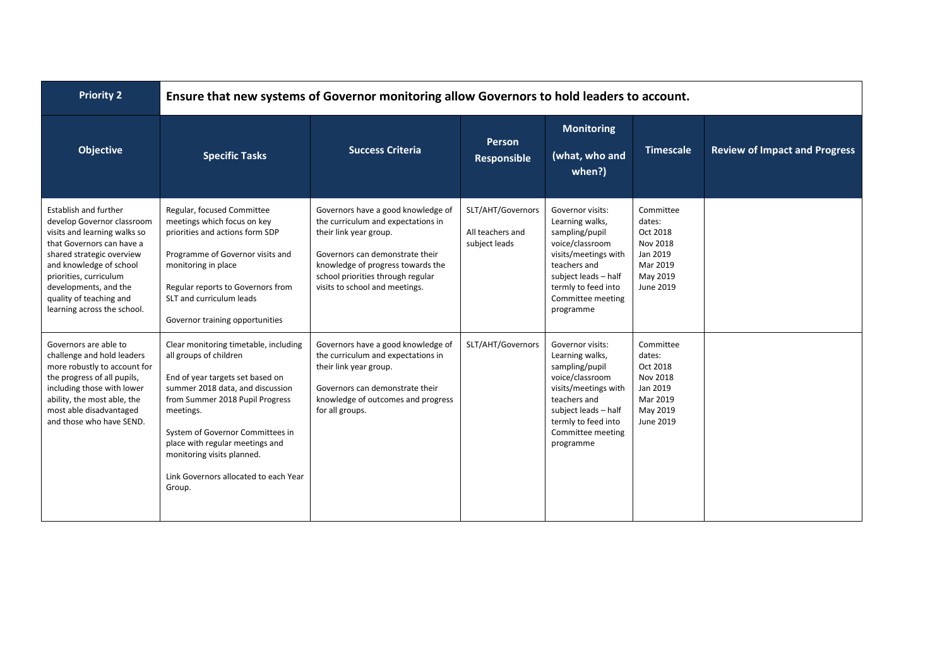| <b>Priority 2</b>                                                                                                                                                                                                                                                                            |                                                                                                                                                                                                                                                                                                                                                 | Ensure that new systems of Governor monitoring allow Governors to hold leaders to account.                                                                                                                                                        |                                                        |                                                                                                                                                                                                   |                                                                                              |                                      |
|----------------------------------------------------------------------------------------------------------------------------------------------------------------------------------------------------------------------------------------------------------------------------------------------|-------------------------------------------------------------------------------------------------------------------------------------------------------------------------------------------------------------------------------------------------------------------------------------------------------------------------------------------------|---------------------------------------------------------------------------------------------------------------------------------------------------------------------------------------------------------------------------------------------------|--------------------------------------------------------|---------------------------------------------------------------------------------------------------------------------------------------------------------------------------------------------------|----------------------------------------------------------------------------------------------|--------------------------------------|
| <b>Objective</b>                                                                                                                                                                                                                                                                             | <b>Specific Tasks</b>                                                                                                                                                                                                                                                                                                                           | <b>Success Criteria</b>                                                                                                                                                                                                                           | <b>Person</b><br>Responsible                           | <b>Monitoring</b><br>(what, who and<br>when?)                                                                                                                                                     | <b>Timescale</b>                                                                             | <b>Review of Impact and Progress</b> |
| <b>Establish and further</b><br>develop Governor classroom<br>visits and learning walks so<br>that Governors can have a<br>shared strategic overview<br>and knowledge of school<br>priorities, curriculum<br>developments, and the<br>quality of teaching and<br>learning across the school. | Regular, focused Committee<br>meetings which focus on key<br>priorities and actions form SDP<br>Programme of Governor visits and<br>monitoring in place<br>Regular reports to Governors from<br>SLT and curriculum leads<br>Governor training opportunities                                                                                     | Governors have a good knowledge of<br>the curriculum and expectations in<br>their link year group.<br>Governors can demonstrate their<br>knowledge of progress towards the<br>school priorities through regular<br>visits to school and meetings. | SLT/AHT/Governors<br>All teachers and<br>subject leads | Governor visits:<br>Learning walks,<br>sampling/pupil<br>voice/classroom<br>visits/meetings with<br>teachers and<br>subject leads - half<br>termly to feed into<br>Committee meeting<br>programme | Committee<br>dates:<br>Oct 2018<br>Nov 2018<br>Jan 2019<br>Mar 2019<br>May 2019<br>June 2019 |                                      |
| Governors are able to<br>challenge and hold leaders<br>more robustly to account for<br>the progress of all pupils,<br>including those with lower<br>ability, the most able, the<br>most able disadvantaged<br>and those who have SEND.                                                       | Clear monitoring timetable, including<br>all groups of children<br>End of year targets set based on<br>summer 2018 data, and discussion<br>from Summer 2018 Pupil Progress<br>meetings.<br>System of Governor Committees in<br>place with regular meetings and<br>monitoring visits planned.<br>Link Governors allocated to each Year<br>Group. | Governors have a good knowledge of<br>the curriculum and expectations in<br>their link year group.<br>Governors can demonstrate their<br>knowledge of outcomes and progress<br>for all groups.                                                    | SLT/AHT/Governors                                      | Governor visits:<br>Learning walks,<br>sampling/pupil<br>voice/classroom<br>visits/meetings with<br>teachers and<br>subject leads - half<br>termly to feed into<br>Committee meeting<br>programme | Committee<br>dates:<br>Oct 2018<br>Nov 2018<br>Jan 2019<br>Mar 2019<br>May 2019<br>June 2019 |                                      |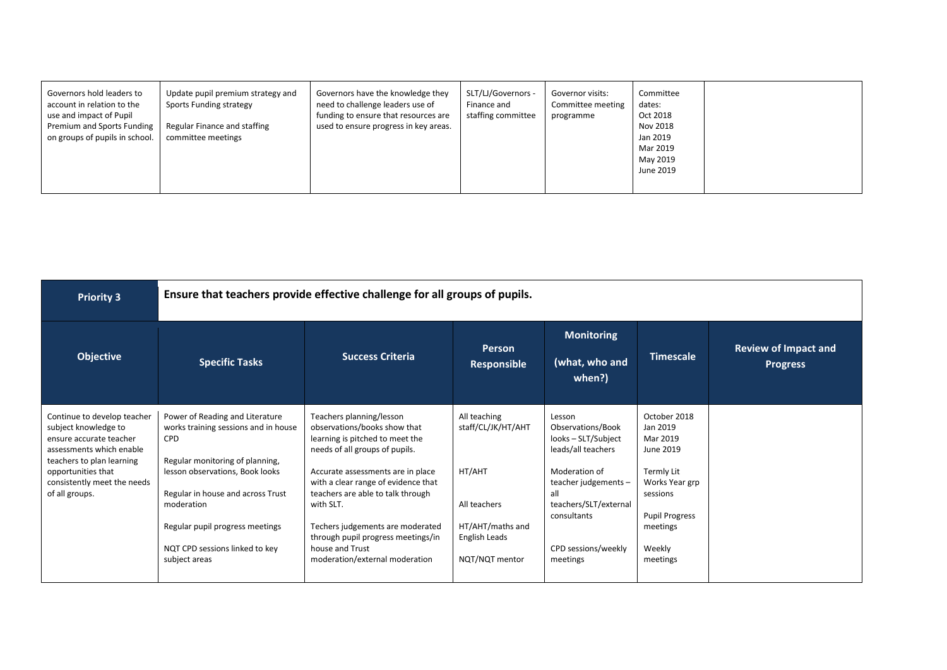| Governors hold leaders to<br>Update pupil premium strategy and<br>account in relation to the<br>Sports Funding strategy<br>use and impact of Pupil<br>Premium and Sports Funding<br>Regular Finance and staffing<br>on groups of pupils in school.<br>committee meetings | Governors have the knowledge they<br>need to challenge leaders use of<br>funding to ensure that resources are<br>used to ensure progress in key areas. | SLT/LJ/Governors -<br>Finance and<br>staffing committee | Governor visits:<br>Committee meeting<br>programme | Committee<br>dates:<br>Oct 2018<br>Nov 2018<br>Jan 2019<br>Mar 2019<br>May 2019<br>June 2019 |  |
|--------------------------------------------------------------------------------------------------------------------------------------------------------------------------------------------------------------------------------------------------------------------------|--------------------------------------------------------------------------------------------------------------------------------------------------------|---------------------------------------------------------|----------------------------------------------------|----------------------------------------------------------------------------------------------|--|
|--------------------------------------------------------------------------------------------------------------------------------------------------------------------------------------------------------------------------------------------------------------------------|--------------------------------------------------------------------------------------------------------------------------------------------------------|---------------------------------------------------------|----------------------------------------------------|----------------------------------------------------------------------------------------------|--|

| <b>Priority 3</b>                                                                                                                       |                                                                                                                          | Ensure that teachers provide effective challenge for all groups of pupils.                                                                                     |                                            |                                                                                      |                                                                               |                                                |  |  |  |
|-----------------------------------------------------------------------------------------------------------------------------------------|--------------------------------------------------------------------------------------------------------------------------|----------------------------------------------------------------------------------------------------------------------------------------------------------------|--------------------------------------------|--------------------------------------------------------------------------------------|-------------------------------------------------------------------------------|------------------------------------------------|--|--|--|
| <b>Objective</b>                                                                                                                        | <b>Specific Tasks</b>                                                                                                    | <b>Success Criteria</b>                                                                                                                                        | Person<br><b>Responsible</b>               | <b>Monitoring</b><br>(what, who and<br>when?)                                        | <b>Timescale</b>                                                              | <b>Review of Impact and</b><br><b>Progress</b> |  |  |  |
| Continue to develop teacher<br>subject knowledge to<br>ensure accurate teacher<br>assessments which enable<br>teachers to plan learning | Power of Reading and Literature<br>works training sessions and in house<br><b>CPD</b><br>Regular monitoring of planning, | Teachers planning/lesson<br>observations/books show that<br>learning is pitched to meet the<br>needs of all groups of pupils.                                  | All teaching<br>staff/CL/JK/HT/AHT         | Lesson<br>Observations/Book<br>looks - SLT/Subject<br>leads/all teachers             | October 2018<br>Jan 2019<br>Mar 2019<br>June 2019                             |                                                |  |  |  |
| opportunities that<br>consistently meet the needs<br>of all groups.                                                                     | lesson observations, Book looks<br>Regular in house and across Trust<br>moderation<br>Regular pupil progress meetings    | Accurate assessments are in place<br>with a clear range of evidence that<br>teachers are able to talk through<br>with SLT.<br>Techers judgements are moderated | HT/AHT<br>All teachers<br>HT/AHT/maths and | Moderation of<br>teacher judgements -<br>all<br>teachers/SLT/external<br>consultants | Termly Lit<br>Works Year grp<br>sessions<br><b>Pupil Progress</b><br>meetings |                                                |  |  |  |
|                                                                                                                                         | NQT CPD sessions linked to key<br>subject areas                                                                          | through pupil progress meetings/in<br>house and Trust<br>moderation/external moderation                                                                        | English Leads<br>NQT/NQT mentor            | CPD sessions/weekly<br>meetings                                                      | Weekly<br>meetings                                                            |                                                |  |  |  |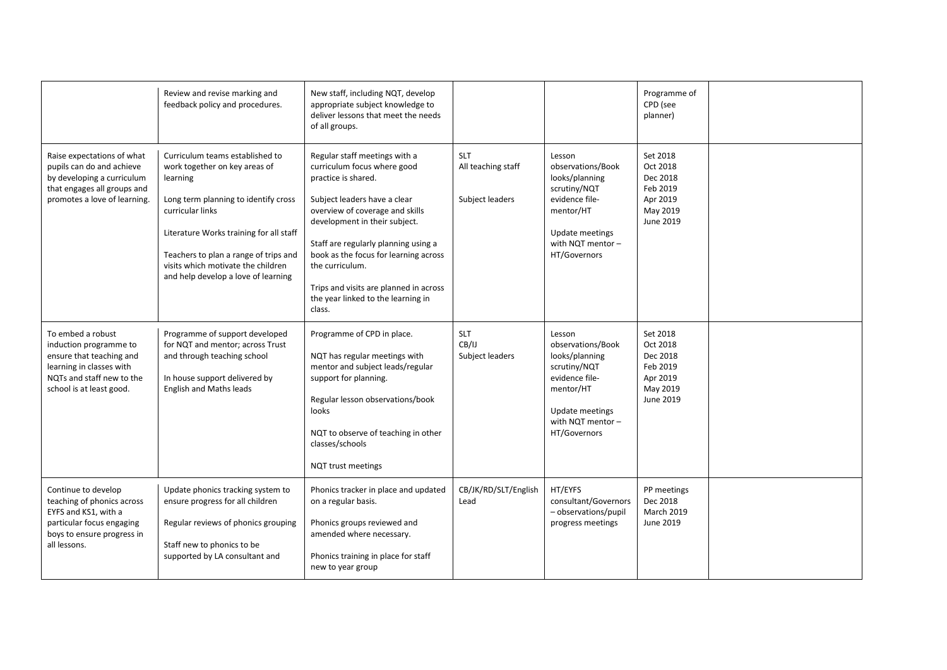|                                                                                                                                                              | Review and revise marking and<br>feedback policy and procedures.                                                                                                                                                                                                                                          | New staff, including NQT, develop<br>appropriate subject knowledge to<br>deliver lessons that meet the needs<br>of all groups.                                                                                                                                                                                                                                                        |                                                     |                                                                                                                                                      | Programme of<br>CPD (see<br>planner)                                              |  |
|--------------------------------------------------------------------------------------------------------------------------------------------------------------|-----------------------------------------------------------------------------------------------------------------------------------------------------------------------------------------------------------------------------------------------------------------------------------------------------------|---------------------------------------------------------------------------------------------------------------------------------------------------------------------------------------------------------------------------------------------------------------------------------------------------------------------------------------------------------------------------------------|-----------------------------------------------------|------------------------------------------------------------------------------------------------------------------------------------------------------|-----------------------------------------------------------------------------------|--|
| Raise expectations of what<br>pupils can do and achieve<br>by developing a curriculum<br>that engages all groups and<br>promotes a love of learning.         | Curriculum teams established to<br>work together on key areas of<br>learning<br>Long term planning to identify cross<br>curricular links<br>Literature Works training for all staff<br>Teachers to plan a range of trips and<br>visits which motivate the children<br>and help develop a love of learning | Regular staff meetings with a<br>curriculum focus where good<br>practice is shared.<br>Subject leaders have a clear<br>overview of coverage and skills<br>development in their subject.<br>Staff are regularly planning using a<br>book as the focus for learning across<br>the curriculum.<br>Trips and visits are planned in across<br>the year linked to the learning in<br>class. | <b>SLT</b><br>All teaching staff<br>Subject leaders | Lesson<br>observations/Book<br>looks/planning<br>scrutiny/NQT<br>evidence file-<br>mentor/HT<br>Update meetings<br>with NQT mentor -<br>HT/Governors | Set 2018<br>Oct 2018<br>Dec 2018<br>Feb 2019<br>Apr 2019<br>May 2019<br>June 2019 |  |
| To embed a robust<br>induction programme to<br>ensure that teaching and<br>learning in classes with<br>NQTs and staff new to the<br>school is at least good. | Programme of support developed<br>for NQT and mentor; across Trust<br>and through teaching school<br>In house support delivered by<br>English and Maths leads                                                                                                                                             | Programme of CPD in place.<br>NQT has regular meetings with<br>mentor and subject leads/regular<br>support for planning.<br>Regular lesson observations/book<br>looks<br>NQT to observe of teaching in other<br>classes/schools<br>NQT trust meetings                                                                                                                                 | <b>SLT</b><br>CB/IJ<br>Subject leaders              | Lesson<br>observations/Book<br>looks/planning<br>scrutiny/NQT<br>evidence file-<br>mentor/HT<br>Update meetings<br>with NQT mentor -<br>HT/Governors | Set 2018<br>Oct 2018<br>Dec 2018<br>Feb 2019<br>Apr 2019<br>May 2019<br>June 2019 |  |
| Continue to develop<br>teaching of phonics across<br>EYFS and KS1, with a<br>particular focus engaging<br>boys to ensure progress in<br>all lessons.         | Update phonics tracking system to<br>ensure progress for all children<br>Regular reviews of phonics grouping<br>Staff new to phonics to be<br>supported by LA consultant and                                                                                                                              | Phonics tracker in place and updated<br>on a regular basis.<br>Phonics groups reviewed and<br>amended where necessary.<br>Phonics training in place for staff<br>new to year group                                                                                                                                                                                                    | CB/JK/RD/SLT/English<br>Lead                        | HT/EYFS<br>consultant/Governors<br>- observations/pupil<br>progress meetings                                                                         | PP meetings<br>Dec 2018<br><b>March 2019</b><br>June 2019                         |  |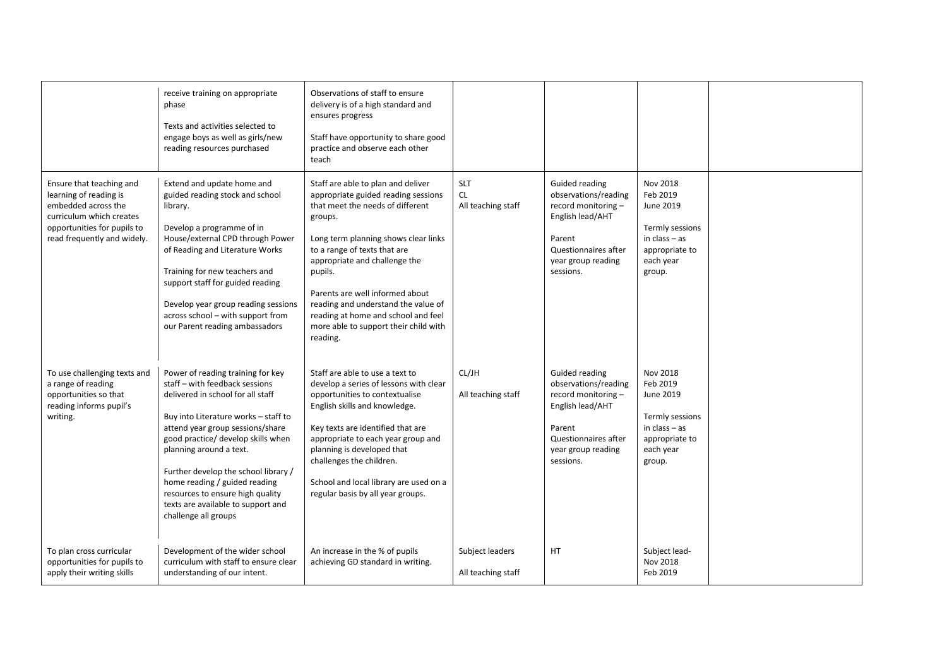|                                                                                                                                                                     | receive training on appropriate<br>phase<br>Texts and activities selected to<br>engage boys as well as girls/new<br>reading resources purchased                                                                                                                                                                                                                                                                                  | Observations of staff to ensure<br>delivery is of a high standard and<br>ensures progress<br>Staff have opportunity to share good<br>practice and observe each other<br>teach                                                                                                                                                                                                                                      |                                        |                                                                                                                                                        |                                                                                                                  |  |
|---------------------------------------------------------------------------------------------------------------------------------------------------------------------|----------------------------------------------------------------------------------------------------------------------------------------------------------------------------------------------------------------------------------------------------------------------------------------------------------------------------------------------------------------------------------------------------------------------------------|--------------------------------------------------------------------------------------------------------------------------------------------------------------------------------------------------------------------------------------------------------------------------------------------------------------------------------------------------------------------------------------------------------------------|----------------------------------------|--------------------------------------------------------------------------------------------------------------------------------------------------------|------------------------------------------------------------------------------------------------------------------|--|
| Ensure that teaching and<br>learning of reading is<br>embedded across the<br>curriculum which creates<br>opportunities for pupils to<br>read frequently and widely. | Extend and update home and<br>guided reading stock and school<br>library.<br>Develop a programme of in<br>House/external CPD through Power<br>of Reading and Literature Works<br>Training for new teachers and<br>support staff for guided reading<br>Develop year group reading sessions<br>across school - with support from<br>our Parent reading ambassadors                                                                 | Staff are able to plan and deliver<br>appropriate guided reading sessions<br>that meet the needs of different<br>groups.<br>Long term planning shows clear links<br>to a range of texts that are<br>appropriate and challenge the<br>pupils.<br>Parents are well informed about<br>reading and understand the value of<br>reading at home and school and feel<br>more able to support their child with<br>reading. | <b>SLT</b><br>CL<br>All teaching staff | Guided reading<br>observations/reading<br>record monitoring -<br>English lead/AHT<br>Parent<br>Questionnaires after<br>year group reading<br>sessions. | Nov 2018<br>Feb 2019<br>June 2019<br>Termly sessions<br>in $class - as$<br>appropriate to<br>each year<br>group. |  |
| To use challenging texts and<br>a range of reading<br>opportunities so that<br>reading informs pupil's<br>writing.                                                  | Power of reading training for key<br>staff - with feedback sessions<br>delivered in school for all staff<br>Buy into Literature works - staff to<br>attend year group sessions/share<br>good practice/ develop skills when<br>planning around a text.<br>Further develop the school library /<br>home reading / guided reading<br>resources to ensure high quality<br>texts are available to support and<br>challenge all groups | Staff are able to use a text to<br>develop a series of lessons with clear<br>opportunities to contextualise<br>English skills and knowledge.<br>Key texts are identified that are<br>appropriate to each year group and<br>planning is developed that<br>challenges the children.<br>School and local library are used on a<br>regular basis by all year groups.                                                   | CL/JH<br>All teaching staff            | Guided reading<br>observations/reading<br>record monitoring -<br>English lead/AHT<br>Parent<br>Questionnaires after<br>year group reading<br>sessions. | Nov 2018<br>Feb 2019<br>June 2019<br>Termly sessions<br>in class $-$ as<br>appropriate to<br>each year<br>group. |  |
| To plan cross curricular<br>opportunities for pupils to<br>apply their writing skills                                                                               | Development of the wider school<br>curriculum with staff to ensure clear<br>understanding of our intent.                                                                                                                                                                                                                                                                                                                         | An increase in the % of pupils<br>achieving GD standard in writing.                                                                                                                                                                                                                                                                                                                                                | Subject leaders<br>All teaching staff  | HT                                                                                                                                                     | Subject lead-<br>Nov 2018<br>Feb 2019                                                                            |  |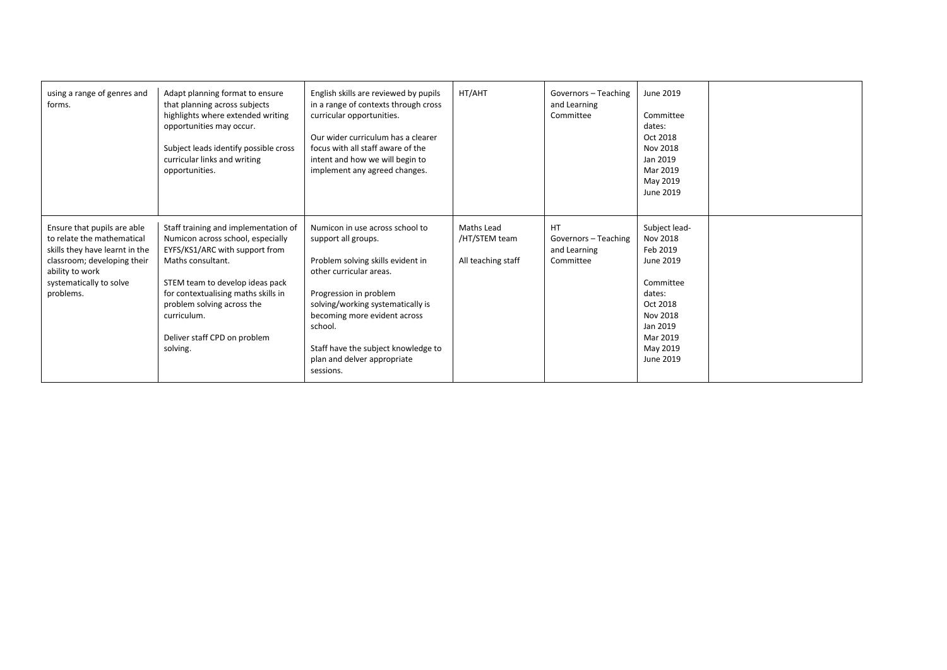| using a range of genres and<br>forms.                                                                                                                                                 | Adapt planning format to ensure<br>that planning across subjects<br>highlights where extended writing<br>opportunities may occur.<br>Subject leads identify possible cross<br>curricular links and writing<br>opportunities.                                                                        | English skills are reviewed by pupils<br>in a range of contexts through cross<br>curricular opportunities.<br>Our wider curriculum has a clearer<br>focus with all staff aware of the<br>intent and how we will begin to<br>implement any agreed changes.                                                           | HT/AHT                                            | Governors - Teaching<br>and Learning<br>Committee              | June 2019<br>Committee<br>dates:<br>Oct 2018<br>Nov 2018<br>Jan 2019<br>Mar 2019<br>May 2019<br>June 2019                                          |  |
|---------------------------------------------------------------------------------------------------------------------------------------------------------------------------------------|-----------------------------------------------------------------------------------------------------------------------------------------------------------------------------------------------------------------------------------------------------------------------------------------------------|---------------------------------------------------------------------------------------------------------------------------------------------------------------------------------------------------------------------------------------------------------------------------------------------------------------------|---------------------------------------------------|----------------------------------------------------------------|----------------------------------------------------------------------------------------------------------------------------------------------------|--|
| Ensure that pupils are able<br>to relate the mathematical<br>skills they have learnt in the<br>classroom; developing their<br>ability to work<br>systematically to solve<br>problems. | Staff training and implementation of<br>Numicon across school, especially<br>EYFS/KS1/ARC with support from<br>Maths consultant.<br>STEM team to develop ideas pack<br>for contextualising maths skills in<br>problem solving across the<br>curriculum.<br>Deliver staff CPD on problem<br>solving. | Numicon in use across school to<br>support all groups.<br>Problem solving skills evident in<br>other curricular areas.<br>Progression in problem<br>solving/working systematically is<br>becoming more evident across<br>school.<br>Staff have the subject knowledge to<br>plan and delver appropriate<br>sessions. | Maths Lead<br>/HT/STEM team<br>All teaching staff | <b>HT</b><br>Governors - Teaching<br>and Learning<br>Committee | Subject lead-<br>Nov 2018<br>Feb 2019<br>June 2019<br>Committee<br>dates:<br>Oct 2018<br>Nov 2018<br>Jan 2019<br>Mar 2019<br>May 2019<br>June 2019 |  |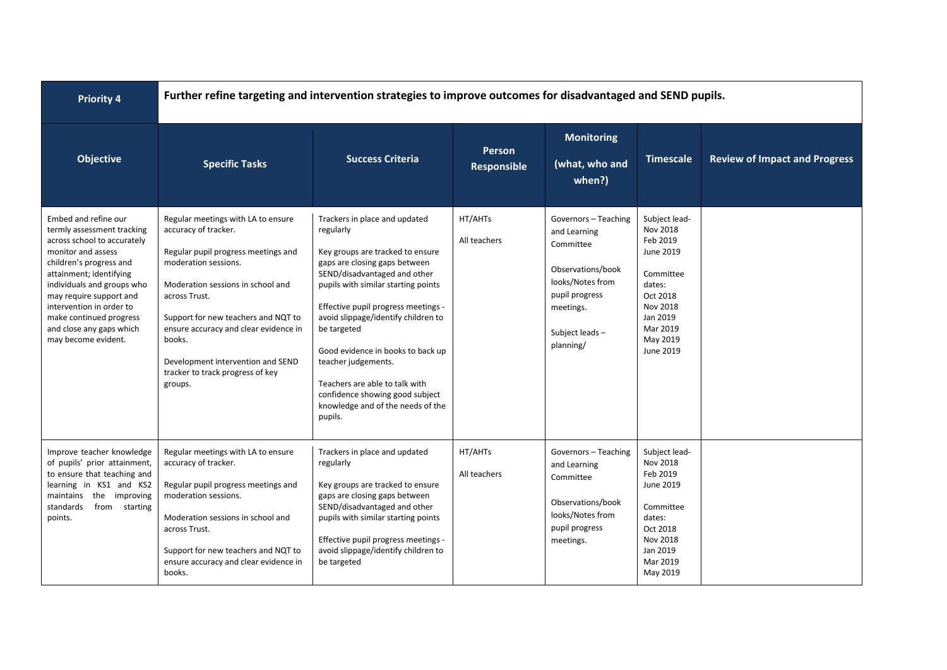| <b>Priority 4</b>                                                                                                                                                                                                                                                                                                                | Further refine targeting and intervention strategies to improve outcomes for disadvantaged and SEND pupils.                                                                                                                                                                                                                                                   |                                                                                                                                                                                                                                                                                                                                                                                                                                                                      |                                     |                                                                                                                                                          |                                                                                                                                                    |                                      |  |
|----------------------------------------------------------------------------------------------------------------------------------------------------------------------------------------------------------------------------------------------------------------------------------------------------------------------------------|---------------------------------------------------------------------------------------------------------------------------------------------------------------------------------------------------------------------------------------------------------------------------------------------------------------------------------------------------------------|----------------------------------------------------------------------------------------------------------------------------------------------------------------------------------------------------------------------------------------------------------------------------------------------------------------------------------------------------------------------------------------------------------------------------------------------------------------------|-------------------------------------|----------------------------------------------------------------------------------------------------------------------------------------------------------|----------------------------------------------------------------------------------------------------------------------------------------------------|--------------------------------------|--|
| <b>Objective</b>                                                                                                                                                                                                                                                                                                                 | <b>Specific Tasks</b>                                                                                                                                                                                                                                                                                                                                         | <b>Success Criteria</b>                                                                                                                                                                                                                                                                                                                                                                                                                                              | <b>Person</b><br><b>Responsible</b> | <b>Monitoring</b><br>(what, who and<br>when?)                                                                                                            | <b>Timescale</b>                                                                                                                                   | <b>Review of Impact and Progress</b> |  |
| Embed and refine our<br>termly assessment tracking<br>across school to accurately<br>monitor and assess<br>children's progress and<br>attainment; identifying<br>individuals and groups who<br>may require support and<br>intervention in order to<br>make continued progress<br>and close any gaps which<br>may become evident. | Regular meetings with LA to ensure<br>accuracy of tracker.<br>Regular pupil progress meetings and<br>moderation sessions.<br>Moderation sessions in school and<br>across Trust.<br>Support for new teachers and NQT to<br>ensure accuracy and clear evidence in<br>books.<br>Development intervention and SEND<br>tracker to track progress of key<br>groups. | Trackers in place and updated<br>regularly<br>Key groups are tracked to ensure<br>gaps are closing gaps between<br>SEND/disadvantaged and other<br>pupils with similar starting points<br>Effective pupil progress meetings -<br>avoid slippage/identify children to<br>be targeted<br>Good evidence in books to back up<br>teacher judgements.<br>Teachers are able to talk with<br>confidence showing good subject<br>knowledge and of the needs of the<br>pupils. | HT/AHTs<br>All teachers             | Governors - Teaching<br>and Learning<br>Committee<br>Observations/book<br>looks/Notes from<br>pupil progress<br>meetings.<br>Subject leads-<br>planning/ | Subject lead-<br>Nov 2018<br>Feb 2019<br>June 2019<br>Committee<br>dates:<br>Oct 2018<br>Nov 2018<br>Jan 2019<br>Mar 2019<br>May 2019<br>June 2019 |                                      |  |
| Improve teacher knowledge<br>of pupils' prior attainment,<br>to ensure that teaching and<br>learning in KS1 and KS2<br>the improving<br>maintains<br>standards<br>from starting<br>points.                                                                                                                                       | Regular meetings with LA to ensure<br>accuracy of tracker.<br>Regular pupil progress meetings and<br>moderation sessions.<br>Moderation sessions in school and<br>across Trust.<br>Support for new teachers and NQT to<br>ensure accuracy and clear evidence in<br>books.                                                                                     | Trackers in place and updated<br>regularly<br>Key groups are tracked to ensure<br>gaps are closing gaps between<br>SEND/disadvantaged and other<br>pupils with similar starting points<br>Effective pupil progress meetings -<br>avoid slippage/identify children to<br>be targeted                                                                                                                                                                                  | HT/AHTs<br>All teachers             | Governors - Teaching<br>and Learning<br>Committee<br>Observations/book<br>looks/Notes from<br>pupil progress<br>meetings.                                | Subject lead-<br>Nov 2018<br>Feb 2019<br>June 2019<br>Committee<br>dates:<br>Oct 2018<br>Nov 2018<br>Jan 2019<br>Mar 2019<br>May 2019              |                                      |  |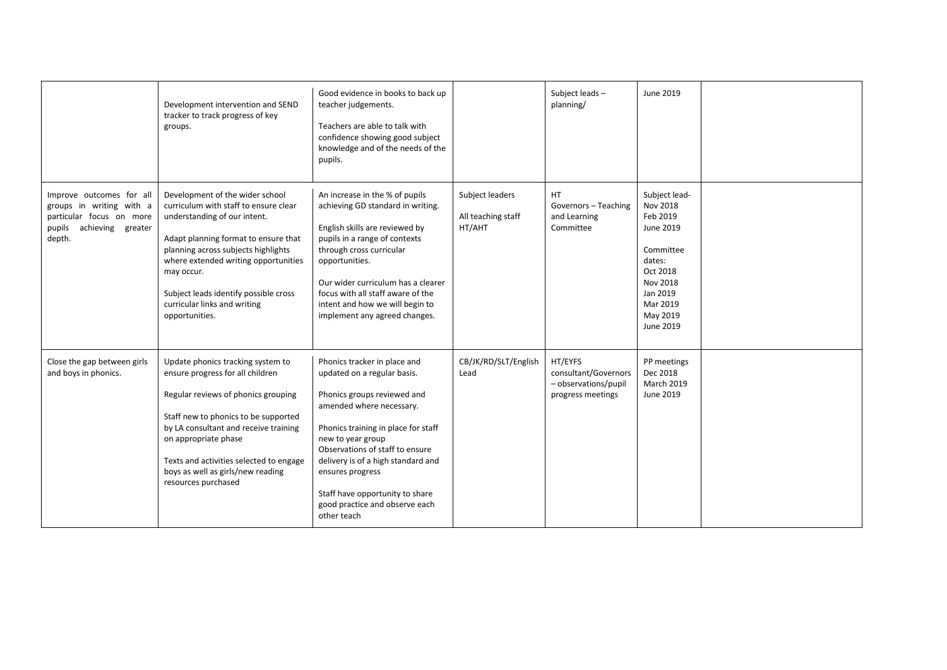|                                                                                                                        |                                                                                                                                                                                                                                                                                                                                          | Good evidence in books to back up                                                                                                                                                                                                                                                                                                                                   |                                                 | Subject leads-                                                               | June 2019                                                                                                                                          |  |
|------------------------------------------------------------------------------------------------------------------------|------------------------------------------------------------------------------------------------------------------------------------------------------------------------------------------------------------------------------------------------------------------------------------------------------------------------------------------|---------------------------------------------------------------------------------------------------------------------------------------------------------------------------------------------------------------------------------------------------------------------------------------------------------------------------------------------------------------------|-------------------------------------------------|------------------------------------------------------------------------------|----------------------------------------------------------------------------------------------------------------------------------------------------|--|
|                                                                                                                        | Development intervention and SEND<br>tracker to track progress of key<br>groups.                                                                                                                                                                                                                                                         | teacher judgements.<br>Teachers are able to talk with<br>confidence showing good subject<br>knowledge and of the needs of the<br>pupils.                                                                                                                                                                                                                            |                                                 | planning/                                                                    |                                                                                                                                                    |  |
| Improve outcomes for all<br>groups in writing with a<br>particular focus on more<br>pupils achieving greater<br>depth. | Development of the wider school<br>curriculum with staff to ensure clear<br>understanding of our intent.<br>Adapt planning format to ensure that<br>planning across subjects highlights<br>where extended writing opportunities<br>may occur.<br>Subject leads identify possible cross<br>curricular links and writing<br>opportunities. | An increase in the % of pupils<br>achieving GD standard in writing.<br>English skills are reviewed by<br>pupils in a range of contexts<br>through cross curricular<br>opportunities.<br>Our wider curriculum has a clearer<br>focus with all staff aware of the<br>intent and how we will begin to<br>implement any agreed changes.                                 | Subject leaders<br>All teaching staff<br>HT/AHT | HT<br>Governors - Teaching<br>and Learning<br>Committee                      | Subject lead-<br>Nov 2018<br>Feb 2019<br>June 2019<br>Committee<br>dates:<br>Oct 2018<br>Nov 2018<br>Jan 2019<br>Mar 2019<br>May 2019<br>June 2019 |  |
| Close the gap between girls<br>and boys in phonics.                                                                    | Update phonics tracking system to<br>ensure progress for all children<br>Regular reviews of phonics grouping<br>Staff new to phonics to be supported<br>by LA consultant and receive training<br>on appropriate phase<br>Texts and activities selected to engage<br>boys as well as girls/new reading<br>resources purchased             | Phonics tracker in place and<br>updated on a regular basis.<br>Phonics groups reviewed and<br>amended where necessary.<br>Phonics training in place for staff<br>new to year group<br>Observations of staff to ensure<br>delivery is of a high standard and<br>ensures progress<br>Staff have opportunity to share<br>good practice and observe each<br>other teach | CB/JK/RD/SLT/English<br>Lead                    | HT/EYFS<br>consultant/Governors<br>- observations/pupil<br>progress meetings | PP meetings<br>Dec 2018<br><b>March 2019</b><br>June 2019                                                                                          |  |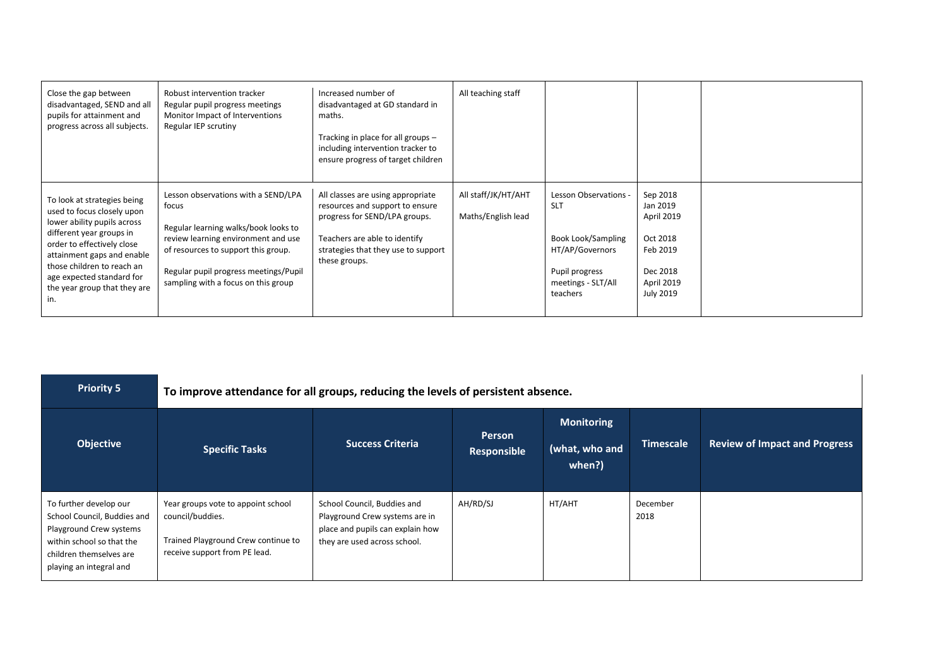| Close the gap between<br>disadvantaged, SEND and all<br>pupils for attainment and<br>progress across all subjects.                                                                                                                                                                 | Robust intervention tracker<br>Regular pupil progress meetings<br>Monitor Impact of Interventions<br>Regular IEP scrutiny                                                                                                                          | Increased number of<br>disadvantaged at GD standard in<br>maths.<br>Tracking in place for all groups -<br>including intervention tracker to<br>ensure progress of target children              | All teaching staff                        |                                                                                                                                         |                                                                                                   |  |
|------------------------------------------------------------------------------------------------------------------------------------------------------------------------------------------------------------------------------------------------------------------------------------|----------------------------------------------------------------------------------------------------------------------------------------------------------------------------------------------------------------------------------------------------|------------------------------------------------------------------------------------------------------------------------------------------------------------------------------------------------|-------------------------------------------|-----------------------------------------------------------------------------------------------------------------------------------------|---------------------------------------------------------------------------------------------------|--|
| To look at strategies being<br>used to focus closely upon<br>lower ability pupils across<br>different year groups in<br>order to effectively close<br>attainment gaps and enable<br>those children to reach an<br>age expected standard for<br>the year group that they are<br>in. | Lesson observations with a SEND/LPA<br>focus<br>Regular learning walks/book looks to<br>review learning environment and use<br>of resources to support this group.<br>Regular pupil progress meetings/Pupil<br>sampling with a focus on this group | All classes are using appropriate<br>resources and support to ensure<br>progress for SEND/LPA groups.<br>Teachers are able to identify<br>strategies that they use to support<br>these groups. | All staff/JK/HT/AHT<br>Maths/English lead | Lesson Observations -<br><b>SLT</b><br><b>Book Look/Sampling</b><br>HT/AP/Governors<br>Pupil progress<br>meetings - SLT/All<br>teachers | Sep 2018<br>Jan 2019<br>April 2019<br>Oct 2018<br>Feb 2019<br>Dec 2018<br>April 2019<br>July 2019 |  |

| <b>Priority 5</b>                                                                                                                                                   | To improve attendance for all groups, reducing the levels of persistent absence.                                               |                                                                                                                                   |                              |                                               |                  |                                      |
|---------------------------------------------------------------------------------------------------------------------------------------------------------------------|--------------------------------------------------------------------------------------------------------------------------------|-----------------------------------------------------------------------------------------------------------------------------------|------------------------------|-----------------------------------------------|------------------|--------------------------------------|
| <b>Objective</b>                                                                                                                                                    | <b>Specific Tasks</b>                                                                                                          | <b>Success Criteria</b>                                                                                                           | <b>Person</b><br>Responsible | <b>Monitoring</b><br>(what, who and<br>when?) | <b>Timescale</b> | <b>Review of Impact and Progress</b> |
| To further develop our<br>School Council, Buddies and<br>Playground Crew systems<br>within school so that the<br>children themselves are<br>playing an integral and | Year groups vote to appoint school<br>council/buddies.<br>Trained Playground Crew continue to<br>receive support from PE lead. | School Council, Buddies and<br>Playground Crew systems are in<br>place and pupils can explain how<br>they are used across school. | AH/RD/SJ                     | HT/AHT                                        | December<br>2018 |                                      |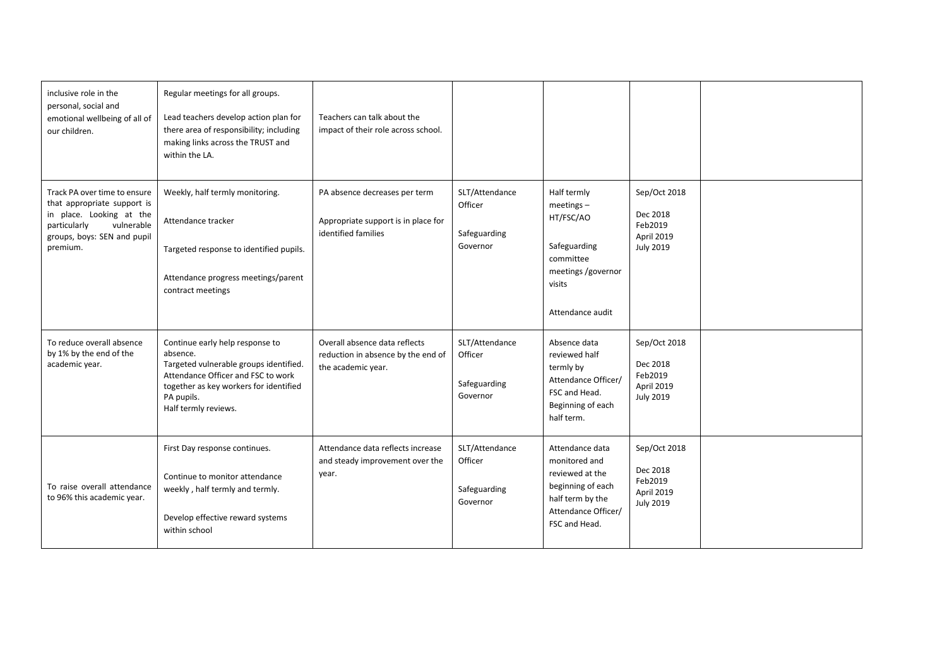| inclusive role in the<br>personal, social and<br>emotional wellbeing of all of<br>our children.                                                                  | Regular meetings for all groups.<br>Lead teachers develop action plan for<br>there area of responsibility; including<br>making links across the TRUST and<br>within the LA.                                 | Teachers can talk about the<br>impact of their role across school.                          |                                                       |                                                                                                                                      |                                                                       |  |
|------------------------------------------------------------------------------------------------------------------------------------------------------------------|-------------------------------------------------------------------------------------------------------------------------------------------------------------------------------------------------------------|---------------------------------------------------------------------------------------------|-------------------------------------------------------|--------------------------------------------------------------------------------------------------------------------------------------|-----------------------------------------------------------------------|--|
| Track PA over time to ensure<br>that appropriate support is<br>in place. Looking at the<br>vulnerable<br>particularly<br>groups, boys: SEN and pupil<br>premium. | Weekly, half termly monitoring.<br>Attendance tracker<br>Targeted response to identified pupils.<br>Attendance progress meetings/parent<br>contract meetings                                                | PA absence decreases per term<br>Appropriate support is in place for<br>identified families | SLT/Attendance<br>Officer<br>Safeguarding<br>Governor | Half termly<br>$meetings -$<br>HT/FSC/AO<br>Safeguarding<br>committee<br>meetings /governor<br>visits<br>Attendance audit            | Sep/Oct 2018<br>Dec 2018<br>Feb2019<br>April 2019<br><b>July 2019</b> |  |
| To reduce overall absence<br>by 1% by the end of the<br>academic year.                                                                                           | Continue early help response to<br>absence.<br>Targeted vulnerable groups identified.<br>Attendance Officer and FSC to work<br>together as key workers for identified<br>PA pupils.<br>Half termly reviews. | Overall absence data reflects<br>reduction in absence by the end of<br>the academic year.   | SLT/Attendance<br>Officer<br>Safeguarding<br>Governor | Absence data<br>reviewed half<br>termly by<br>Attendance Officer/<br>FSC and Head.<br>Beginning of each<br>half term.                | Sep/Oct 2018<br>Dec 2018<br>Feb2019<br>April 2019<br><b>July 2019</b> |  |
| To raise overall attendance<br>to 96% this academic year.                                                                                                        | First Day response continues.<br>Continue to monitor attendance<br>weekly, half termly and termly.<br>Develop effective reward systems<br>within school                                                     | Attendance data reflects increase<br>and steady improvement over the<br>year.               | SLT/Attendance<br>Officer<br>Safeguarding<br>Governor | Attendance data<br>monitored and<br>reviewed at the<br>beginning of each<br>half term by the<br>Attendance Officer/<br>FSC and Head. | Sep/Oct 2018<br>Dec 2018<br>Feb2019<br>April 2019<br><b>July 2019</b> |  |